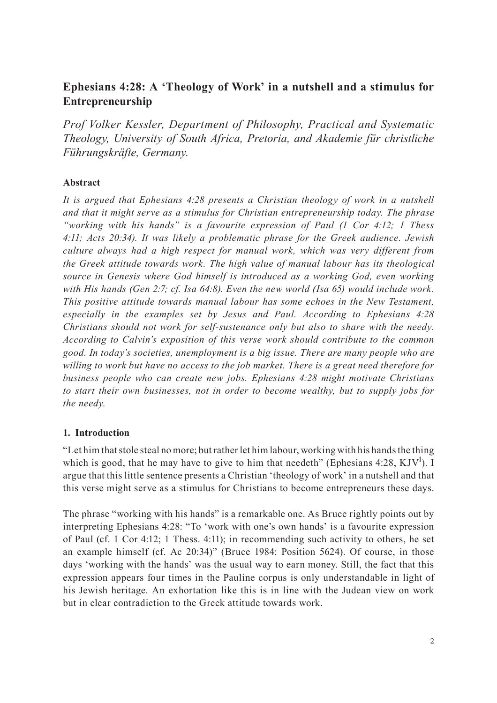# **Ephesians 4:28: A 'Theology of Work' in a nutshell and a stimulus for Entrepreneurship**

*Prof Volker Kessler, Department of Philosophy, Practical and Systematic Theology, University of South Africa, Pretoria, and Akademie für christliche Führungskräfte, Germany.*

## **Abstract**

*It is argued that Ephesians 4:28 presents a Christian theology of work in a nutshell and that it might serve as a stimulus for Christian entrepreneurship today. The phrase "working with his hands" is a favourite expression of Paul (1 Cor 4:12; 1 Thess 4:11; Acts 20:34). It was likely a problematic phrase for the Greek audience. Jewish culture always had a high respect for manual work, which was very different from the Greek attitude towards work. The high value of manual labour has its theological source in Genesis where God himself is introduced as a working God, even working with His hands (Gen 2:7; cf. Isa 64:8). Even the new world (Isa 65) would include work. This positive attitude towards manual labour has some echoes in the New Testament, especially in the examples set by Jesus and Paul. According to Ephesians 4:28 Christians should not work for self-sustenance only but also to share with the needy. According to Calvin's exposition of this verse work should contribute to the common good. In today's societies, unemployment is a big issue. There are many people who are willing to work but have no access to the job market. There is a great need therefore for business people who can create new jobs. Ephesians 4:28 might motivate Christians to start their own businesses, not in order to become wealthy, but to supply jobs for the needy.*

### **1. Introduction**

"Let him that stole steal no more; but rather let him labour, working with his hands the thing which is good, that he may have to give to him that needeth" (Ephesians 4:28, KJV<sup>1</sup>). I argue that this little sentence presents a Christian 'theology of work' in a nutshell and that this verse might serve as a stimulus for Christians to become entrepreneurs these days.

The phrase "working with his hands" is a remarkable one. As Bruce rightly points out by interpreting Ephesians 4:28: "To 'work with one's own hands' is a favourite expression of Paul (cf. 1 Cor 4:12; 1 Thess. 4:11); in recommending such activity to others, he set an example himself (cf. Ac 20:34)" (Bruce 1984: Position 5624). Of course, in those days 'working with the hands' was the usual way to earn money. Still, the fact that this expression appears four times in the Pauline corpus is only understandable in light of his Jewish heritage. An exhortation like this is in line with the Judean view on work but in clear contradiction to the Greek attitude towards work.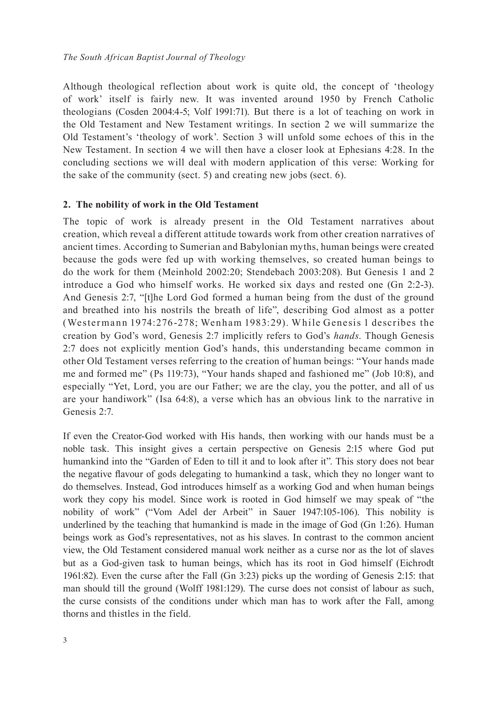Although theological reflection about work is quite old, the concept of 'theology of work' itself is fairly new. It was invented around 1950 by French Catholic theologians (Cosden 2004:4-5; Volf 1991:71). But there is a lot of teaching on work in the Old Testament and New Testament writings. In section 2 we will summarize the Old Testament's 'theology of work'. Section 3 will unfold some echoes of this in the New Testament. In section 4 we will then have a closer look at Ephesians 4:28. In the concluding sections we will deal with modern application of this verse: Working for the sake of the community (sect. 5) and creating new jobs (sect. 6).

#### **2. The nobility of work in the Old Testament**

The topic of work is already present in the Old Testament narratives about creation, which reveal a different attitude towards work from other creation narratives of ancient times. According to Sumerian and Babylonian myths, human beings were created because the gods were fed up with working themselves, so created human beings to do the work for them (Meinhold 2002:20; Stendebach 2003:208). But Genesis 1 and 2 introduce a God who himself works. He worked six days and rested one (Gn 2:2-3). And Genesis 2:7, "[t]he Lord God formed a human being from the dust of the ground and breathed into his nostrils the breath of life", describing God almost as a potter (Wester man n 1974:276 -278; Wen ham 1983:29). W hile Genesis 1 describes the creation by God's word, Genesis 2:7 implicitly refers to God's *hands*. Though Genesis 2:7 does not explicitly mention God's hands, this understanding became common in other Old Testament verses referring to the creation of human beings: "Your hands made me and formed me" (Ps 119:73), "Your hands shaped and fashioned me" (Job 10:8), and especially "Yet, Lord, you are our Father; we are the clay, you the potter, and all of us are your handiwork" (Isa 64:8), a verse which has an obvious link to the narrative in Genesis 2:7.

If even the Creator-God worked with His hands, then working with our hands must be a noble task. This insight gives a certain perspective on Genesis 2:15 where God put humankind into the "Garden of Eden to till it and to look after it". This story does not bear the negative flavour of gods delegating to humankind a task, which they no longer want to do themselves. Instead, God introduces himself as a working God and when human beings work they copy his model. Since work is rooted in God himself we may speak of "the nobility of work" ("Vom Adel der Arbeit" in Sauer 1947:105-106). This nobility is underlined by the teaching that humankind is made in the image of God (Gn 1:26). Human beings work as God's representatives, not as his slaves. In contrast to the common ancient view, the Old Testament considered manual work neither as a curse nor as the lot of slaves but as a God-given task to human beings, which has its root in God himself (Eichrodt 1961:82). Even the curse after the Fall (Gn 3:23) picks up the wording of Genesis 2:15: that man should till the ground (Wolff 1981:129). The curse does not consist of labour as such, the curse consists of the conditions under which man has to work after the Fall, among thorns and thistles in the field.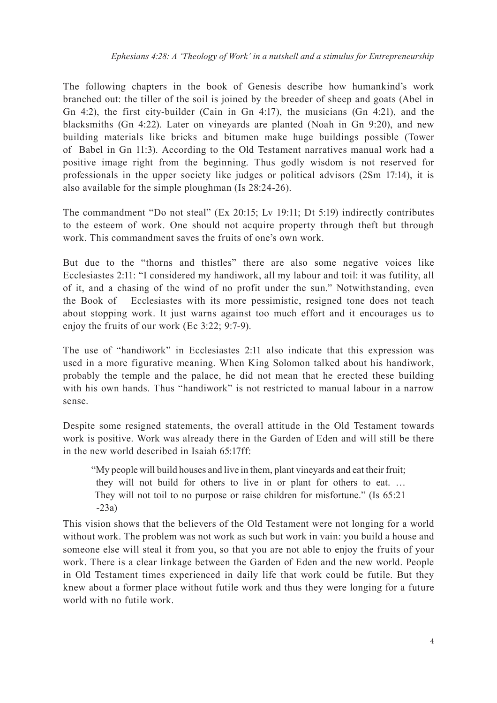The following chapters in the book of Genesis describe how humankind's work branched out: the tiller of the soil is joined by the breeder of sheep and goats (Abel in Gn 4:2), the first city-builder (Cain in Gn 4:17), the musicians (Gn 4:21), and the blacksmiths (Gn 4:22). Later on vineyards are planted (Noah in Gn 9:20), and new building materials like bricks and bitumen make huge buildings possible (Tower of Babel in Gn 11:3). According to the Old Testament narratives manual work had a positive image right from the beginning. Thus godly wisdom is not reserved for professionals in the upper society like judges or political advisors (2Sm 17:14), it is also available for the simple ploughman (Is 28:24-26).

The commandment "Do not steal" (Ex 20:15; Lv 19:11; Dt 5:19) indirectly contributes to the esteem of work. One should not acquire property through theft but through work. This commandment saves the fruits of one's own work.

But due to the "thorns and thistles" there are also some negative voices like Ecclesiastes 2:11: "I considered my handiwork, all my labour and toil: it was futility, all of it, and a chasing of the wind of no profit under the sun." Notwithstanding, even the Book of Ecclesiastes with its more pessimistic, resigned tone does not teach about stopping work. It just warns against too much effort and it encourages us to enjoy the fruits of our work (Ec 3:22; 9:7-9).

The use of "handiwork" in Ecclesiastes 2:11 also indicate that this expression was used in a more figurative meaning. When King Solomon talked about his handiwork, probably the temple and the palace, he did not mean that he erected these building with his own hands. Thus "handiwork" is not restricted to manual labour in a narrow sense.

Despite some resigned statements, the overall attitude in the Old Testament towards work is positive. Work was already there in the Garden of Eden and will still be there in the new world described in Isaiah 65:17ff:

"My people will build houses and live in them, plant vineyards and eat their fruit; they will not build for others to live in or plant for others to eat. … They will not toil to no purpose or raise children for misfortune." (Is 65:21 -23a)

This vision shows that the believers of the Old Testament were not longing for a world without work. The problem was not work as such but work in vain: you build a house and someone else will steal it from you, so that you are not able to enjoy the fruits of your work. There is a clear linkage between the Garden of Eden and the new world. People in Old Testament times experienced in daily life that work could be futile. But they knew about a former place without futile work and thus they were longing for a future world with no futile work.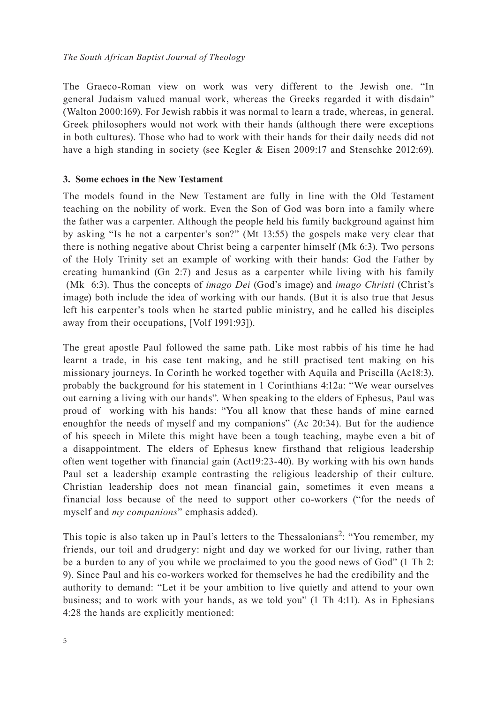The Graeco-Roman view on work was very different to the Jewish one. "In general Judaism valued manual work, whereas the Greeks regarded it with disdain" (Walton 2000:169). For Jewish rabbis it was normal to learn a trade, whereas, in general, Greek philosophers would not work with their hands (although there were exceptions in both cultures). Those who had to work with their hands for their daily needs did not have a high standing in society (see Kegler & Eisen 2009:17 and Stenschke 2012:69).

## **3. Some echoes in the New Testament**

The models found in the New Testament are fully in line with the Old Testament teaching on the nobility of work. Even the Son of God was born into a family where the father was a carpenter. Although the people held his family background against him by asking "Is he not a carpenter's son?" (Mt 13:55) the gospels make very clear that there is nothing negative about Christ being a carpenter himself (Mk 6:3). Two persons of the Holy Trinity set an example of working with their hands: God the Father by creating humankind (Gn 2:7) and Jesus as a carpenter while living with his family (Mk 6:3). Thus the concepts of *imago Dei* (God's image) and *imago Christi* (Christ's image) both include the idea of working with our hands. (But it is also true that Jesus left his carpenter's tools when he started public ministry, and he called his disciples away from their occupations, [Volf 1991:93]).

The great apostle Paul followed the same path. Like most rabbis of his time he had learnt a trade, in his case tent making, and he still practised tent making on his missionary journeys. In Corinth he worked together with Aquila and Priscilla (Ac18:3), probably the background for his statement in 1 Corinthians 4:12a: "We wear ourselves out earning a living with our hands". When speaking to the elders of Ephesus, Paul was proud of working with his hands: "You all know that these hands of mine earned enoughfor the needs of myself and my companions" (Ac 20:34). But for the audience of his speech in Milete this might have been a tough teaching, maybe even a bit of a disappointment. The elders of Ephesus knew firsthand that religious leadership often went together with financial gain (Act19:23-40). By working with his own hands Paul set a leadership example contrasting the religious leadership of their culture. Christian leadership does not mean financial gain, sometimes it even means a financial loss because of the need to support other co-workers ("for the needs of myself and *my companions*" emphasis added).

This topic is also taken up in Paul's letters to the Thessalonians<sup>2</sup>: "You remember, my friends, our toil and drudgery: night and day we worked for our living, rather than be a burden to any of you while we proclaimed to you the good news of God" (1 Th 2: 9). Since Paul and his co-workers worked for themselves he had the credibility and the authority to demand: "Let it be your ambition to live quietly and attend to your own business; and to work with your hands, as we told you" (1 Th 4:11). As in Ephesians 4:28 the hands are explicitly mentioned: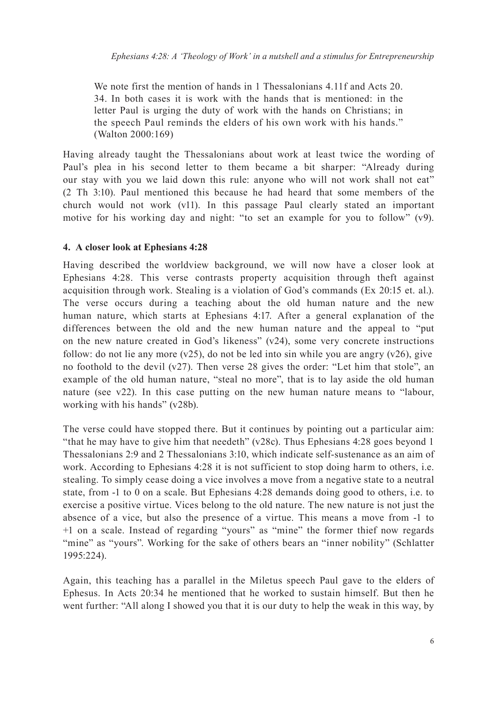We note first the mention of hands in 1 Thessalonians 4.11f and Acts 20. 34. In both cases it is work with the hands that is mentioned: in the letter Paul is urging the duty of work with the hands on Christians; in the speech Paul reminds the elders of his own work with his hands." (Walton 2000:169)

Having already taught the Thessalonians about work at least twice the wording of Paul's plea in his second letter to them became a bit sharper: "Already during our stay with you we laid down this rule: anyone who will not work shall not eat" (2 Th 3:10). Paul mentioned this because he had heard that some members of the church would not work (v11). In this passage Paul clearly stated an important motive for his working day and night: "to set an example for you to follow" (v9).

#### **4. A closer look at Ephesians 4:28**

Having described the worldview background, we will now have a closer look at Ephesians 4:28. This verse contrasts property acquisition through theft against acquisition through work. Stealing is a violation of God's commands (Ex 20:15 et. al.). The verse occurs during a teaching about the old human nature and the new human nature, which starts at Ephesians 4:17. After a general explanation of the differences between the old and the new human nature and the appeal to "put on the new nature created in God's likeness" (v24), some very concrete instructions follow: do not lie any more  $(v25)$ , do not be led into sin while you are angry  $(v26)$ , give no foothold to the devil (v27). Then verse 28 gives the order: "Let him that stole", an example of the old human nature, "steal no more", that is to lay aside the old human nature (see v22). In this case putting on the new human nature means to "labour, working with his hands" (v28b).

The verse could have stopped there. But it continues by pointing out a particular aim: "that he may have to give him that needeth" (v28c). Thus Ephesians 4:28 goes beyond 1 Thessalonians 2:9 and 2 Thessalonians 3:10, which indicate self-sustenance as an aim of work. According to Ephesians 4:28 it is not sufficient to stop doing harm to others, i.e. stealing. To simply cease doing a vice involves a move from a negative state to a neutral state, from -1 to 0 on a scale. But Ephesians 4:28 demands doing good to others, i.e. to exercise a positive virtue. Vices belong to the old nature. The new nature is not just the absence of a vice, but also the presence of a virtue. This means a move from -1 to +1 on a scale. Instead of regarding "yours" as "mine" the former thief now regards "mine" as "yours". Working for the sake of others bears an "inner nobility" (Schlatter 1995:224).

Again, this teaching has a parallel in the Miletus speech Paul gave to the elders of Ephesus. In Acts 20:34 he mentioned that he worked to sustain himself. But then he went further: "All along I showed you that it is our duty to help the weak in this way, by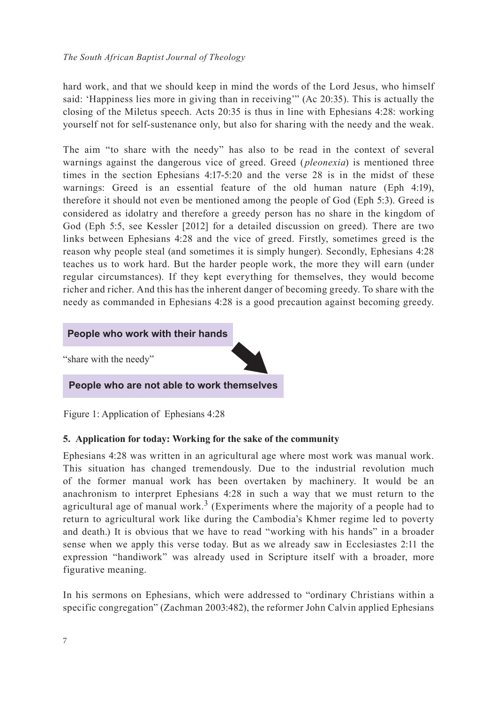hard work, and that we should keep in mind the words of the Lord Jesus, who himself said: 'Happiness lies more in giving than in receiving'" (Ac 20:35). This is actually the closing of the Miletus speech. Acts 20:35 is thus in line with Ephesians 4:28: working yourself not for self-sustenance only, but also for sharing with the needy and the weak.

The aim "to share with the needy" has also to be read in the context of several warnings against the dangerous vice of greed. Greed (*pleonexia*) is mentioned three times in the section Ephesians 4:17-5:20 and the verse 28 is in the midst of these warnings: Greed is an essential feature of the old human nature (Eph 4:19), therefore it should not even be mentioned among the people of God (Eph 5:3). Greed is considered as idolatry and therefore a greedy person has no share in the kingdom of God (Eph 5:5, see Kessler [2012] for a detailed discussion on greed). There are two links between Ephesians 4:28 and the vice of greed. Firstly, sometimes greed is the reason why people steal (and sometimes it is simply hunger). Secondly, Ephesians 4:28 teaches us to work hard. But the harder people work, the more they will earn (under regular circumstances). If they kept everything for themselves, they would become richer and richer. And this has the inherent danger of becoming greedy. To share with the needy as commanded in Ephesians 4:28 is a good precaution against becoming greedy.

# **People who work with their hands**

"share with the needy"

**People who are not able to work themselves**

Figure 1: Application of Ephesians 4:28

### **5. Application for today: Working for the sake of the community**

Ephesians 4:28 was written in an agricultural age where most work was manual work. This situation has changed tremendously. Due to the industrial revolution much of the former manual work has been overtaken by machinery. It would be an anachronism to interpret Ephesians 4:28 in such a way that we must return to the agricultural age of manual work.<sup>3</sup> (Experiments where the majority of a people had to return to agricultural work like during the Cambodia's Khmer regime led to poverty and death.) It is obvious that we have to read "working with his hands" in a broader sense when we apply this verse today. But as we already saw in Ecclesiastes 2:11 the expression "handiwork" was already used in Scripture itself with a broader, more figurative meaning.

In his sermons on Ephesians, which were addressed to "ordinary Christians within a specific congregation" (Zachman 2003:482), the reformer John Calvin applied Ephesians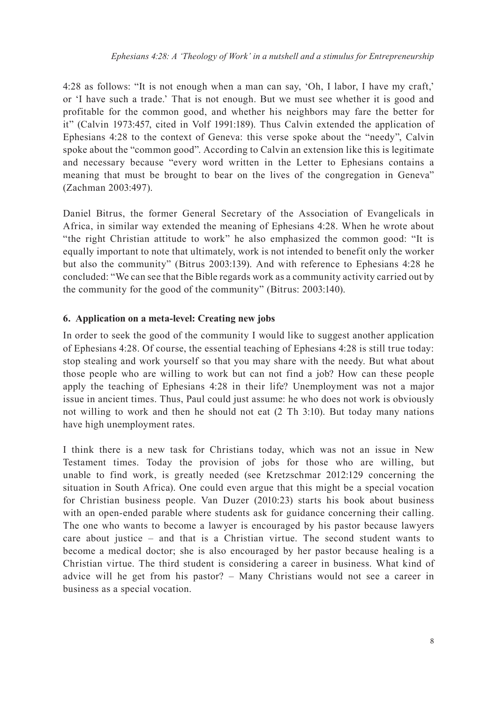4:28 as follows: "It is not enough when a man can say, 'Oh, I labor, I have my craft,' or 'I have such a trade.' That is not enough. But we must see whether it is good and profitable for the common good, and whether his neighbors may fare the better for it" (Calvin 1973:457, cited in Volf 1991:189). Thus Calvin extended the application of Ephesians 4:28 to the context of Geneva: this verse spoke about the "needy", Calvin spoke about the "common good". According to Calvin an extension like this is legitimate and necessary because "every word written in the Letter to Ephesians contains a meaning that must be brought to bear on the lives of the congregation in Geneva" (Zachman 2003:497).

Daniel Bitrus, the former General Secretary of the Association of Evangelicals in Africa, in similar way extended the meaning of Ephesians 4:28. When he wrote about "the right Christian attitude to work" he also emphasized the common good: "It is equally important to note that ultimately, work is not intended to benefit only the worker but also the community" (Bitrus 2003:139). And with reference to Ephesians 4:28 he concluded: "We can see that the Bible regards work as a community activity carried out by the community for the good of the community" (Bitrus: 2003:140).

### **6. Application on a meta-level: Creating new jobs**

In order to seek the good of the community I would like to suggest another application of Ephesians 4:28. Of course, the essential teaching of Ephesians 4:28 is still true today: stop stealing and work yourself so that you may share with the needy. But what about those people who are willing to work but can not find a job? How can these people apply the teaching of Ephesians 4:28 in their life? Unemployment was not a major issue in ancient times. Thus, Paul could just assume: he who does not work is obviously not willing to work and then he should not eat (2 Th 3:10). But today many nations have high unemployment rates.

I think there is a new task for Christians today, which was not an issue in New Testament times. Today the provision of jobs for those who are willing, but unable to find work, is greatly needed (see Kretzschmar 2012:129 concerning the situation in South Africa). One could even argue that this might be a special vocation for Christian business people. Van Duzer (2010:23) starts his book about business with an open-ended parable where students ask for guidance concerning their calling. The one who wants to become a lawyer is encouraged by his pastor because lawyers care about justice – and that is a Christian virtue. The second student wants to become a medical doctor; she is also encouraged by her pastor because healing is a Christian virtue. The third student is considering a career in business. What kind of advice will he get from his pastor? – Many Christians would not see a career in business as a special vocation.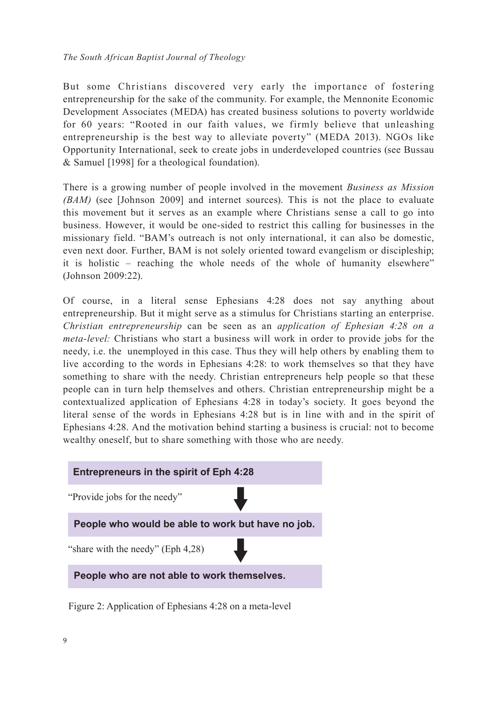But some Christians discovered very early the importance of fostering entrepreneurship for the sake of the community. For example, the Mennonite Economic Development Associates (MEDA) has created business solutions to poverty worldwide for 60 years: "Rooted in our faith values, we firmly believe that unleashing entrepreneurship is the best way to alleviate poverty" (MEDA 2013). NGOs like Opportunity International, seek to create jobs in underdeveloped countries (see Bussau & Samuel [1998] for a theological foundation).

There is a growing number of people involved in the movement *Business as Mission (BAM)* (see [Johnson 2009] and internet sources). This is not the place to evaluate this movement but it serves as an example where Christians sense a call to go into business. However, it would be one-sided to restrict this calling for businesses in the missionary field. "BAM's outreach is not only international, it can also be domestic, even next door. Further, BAM is not solely oriented toward evangelism or discipleship; it is holistic – reaching the whole needs of the whole of humanity elsewhere" (Johnson 2009:22).

Of course, in a literal sense Ephesians 4:28 does not say anything about entrepreneurship. But it might serve as a stimulus for Christians starting an enterprise. *Christian entrepreneurship* can be seen as an *application of Ephesian 4:28 on a meta-level:* Christians who start a business will work in order to provide jobs for the needy, i.e. the unemployed in this case. Thus they will help others by enabling them to live according to the words in Ephesians 4:28: to work themselves so that they have something to share with the needy. Christian entrepreneurs help people so that these people can in turn help themselves and others. Christian entrepreneurship might be a contextualized application of Ephesians 4:28 in today's society. It goes beyond the literal sense of the words in Ephesians 4:28 but is in line with and in the spirit of Ephesians 4:28. And the motivation behind starting a business is crucial: not to become wealthy oneself, but to share something with those who are needy.



Figure 2: Application of Ephesians 4:28 on a meta-level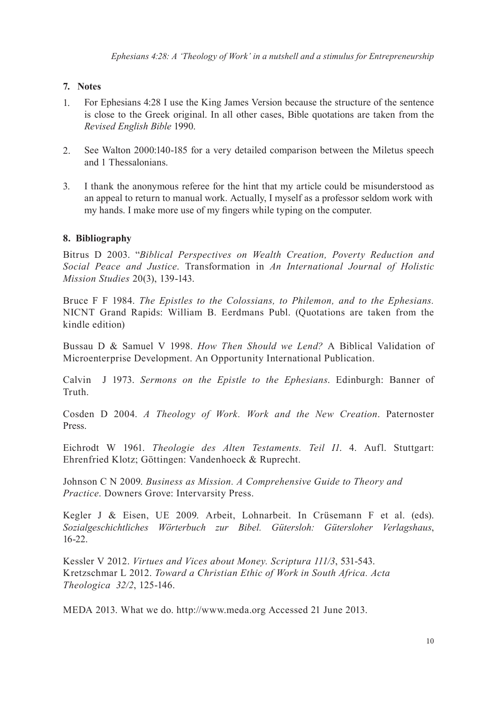# **7. Notes**

- 1. For Ephesians 4:28 I use the King James Version because the structure of the sentence is close to the Greek original. In all other cases, Bible quotations are taken from the *Revised English Bible* 1990.
- 2. See Walton 2000:140-185 for a very detailed comparison between the Miletus speech and 1 Thessalonians.
- 3. I thank the anonymous referee for the hint that my article could be misunderstood as an appeal to return to manual work. Actually, I myself as a professor seldom work with my hands. I make more use of my fingers while typing on the computer.

# **8. Bibliography**

Bitrus D 2003. "*Biblical Perspectives on Wealth Creation, Poverty Reduction and Social Peace and Justice*. Transformation in *An International Journal of Holistic Mission Studies* 20(3), 139-143.

Bruce F F 1984. *The Epistles to the Colossians, to Philemon, and to the Ephesians.* NICNT Grand Rapids: William B. Eerdmans Publ. (Quotations are taken from the kindle edition)

Bussau D & Samuel V 1998. *How Then Should we Lend?* A Biblical Validation of Microenterprise Development. An Opportunity International Publication.

Calvin J 1973. *Sermons on the Epistle to the Ephesians*. Edinburgh: Banner of Truth.

Cosden D 2004. *A Theology of Work. Work and the New Creation*. Paternoster Press.

Eichrodt W 1961. *Theologie des Alten Testaments. Teil I1*. 4. Aufl. Stuttgart: Ehrenfried Klotz; Göttingen: Vandenhoeck & Ruprecht.

Johnson C N 2009. *Business as Mission. A Comprehensive Guide to Theory and Practice*. Downers Grove: Intervarsity Press.

Kegler J & Eisen, UE 2009. Arbeit, Lohnarbeit. In Crüsemann F et al. (eds). *Sozialgeschichtliches Wörterbuch zur Bibel. Gütersloh: Gütersloher Verlagshaus*, 16-22.

Kessler V 2012. *Virtues and Vices about Money. Scriptura 111/3*, 531-543. Kretzschmar L 2012. *Toward a Christian Ethic of Work in South Africa. Acta Theologica 32/2*, 125-146.

MEDA 2013. What we do. http://www.meda.org Accessed 21 June 2013.